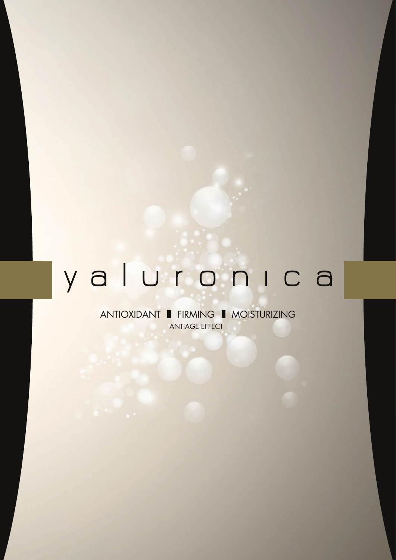# yaluronica

ANTIOXIDANT FIRMING MOISTURIZING ANTIAGE EFFECT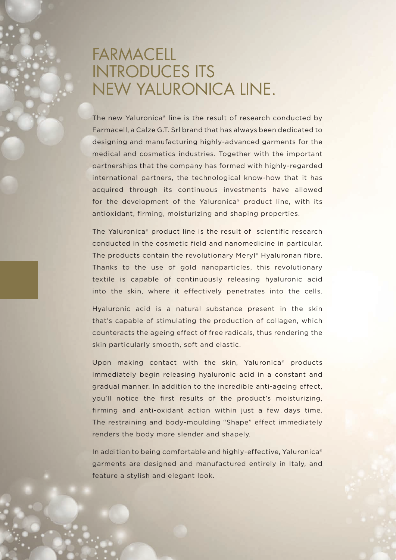# FARMACELL INTRODUCES ITS NEW YALURONICA LINE.

The new Yaluronica® line is the result of research conducted by Farmacell, a Calze G.T. Srl brand that has always been dedicated to designing and manufacturing highly-advanced garments for the medical and cosmetics industries. Together with the important partnerships that the company has formed with highly-regarded international partners, the technological know-how that it has acquired through its continuous investments have allowed for the development of the Yaluronica® product line, with its antioxidant, firming, moisturizing and shaping properties.

The Yaluronica® product line is the result of scientific research conducted in the cosmetic field and nanomedicine in particular. The products contain the revolutionary Meryl® Hyaluronan fibre. Thanks to the use of gold nanoparticles, this revolutionary textile is capable of continuously releasing hyaluronic acid into the skin, where it effectively penetrates into the cells.

Hyaluronic acid is a natural substance present in the skin that's capable of stimulating the production of collagen, which counteracts the ageing effect of free radicals, thus rendering the skin particularly smooth, soft and elastic.

Upon making contact with the skin, Yaluronica® products immediately begin releasing hyaluronic acid in a constant and gradual manner. In addition to the incredible anti-ageing effect, you'll notice the first results of the product's moisturizing, firming and anti-oxidant action within just a few days time. The restraining and body-moulding "Shape" effect immediately renders the body more slender and shapely.

In addition to being comfortable and highly-effective, Yaluronica® garments are designed and manufactured entirely in Italy, and feature a stylish and elegant look.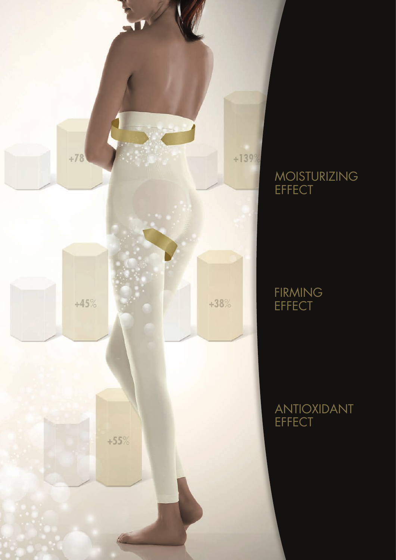

## MOISTURIZING **EFFECT**

## FIRMING **EFFECT**

ANTIOXIDANT **EFFECT**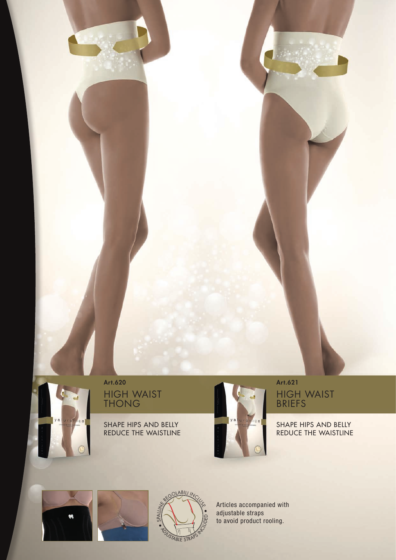# HIGH WAIST THONG

SHAPE HIPS AND BELLY REDUCE THE WAISTLINE



## HIGH WAIST BRIEFS

#### SHAPE HIPS AND BELLY REDUCE THE WAISTLINE



ya uron

 $c<sub>a</sub>$ 





Articles accompanied with adjustable straps to avoid product rooling.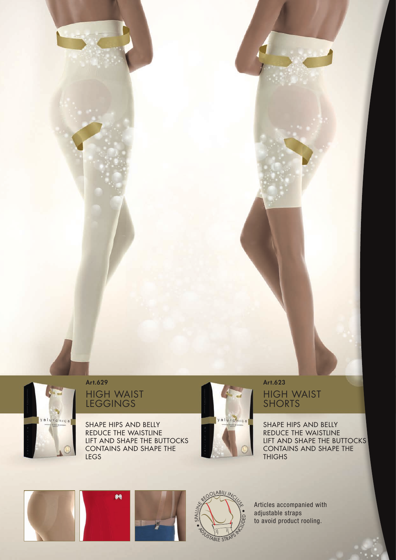

## HIGH WAIST LEGGINGS

SHAPE HIPS AND BELLY REDUCE THE WAISTLINE LIFT AND SHAPE THE BUTTOCKS CONTAINS AND SHAPE THE LEGS



#### HIGH WAIST SHORTS Art.629 Art.623

SHAPE HIPS AND BELLY REDUCE THE WAISTLINE LIFT AND SHAPE THE BUTTOCKS CONTAINS AND SHAPE THE **THIGHS** 







Articles accompanied with adjustable straps to avoid product rooling.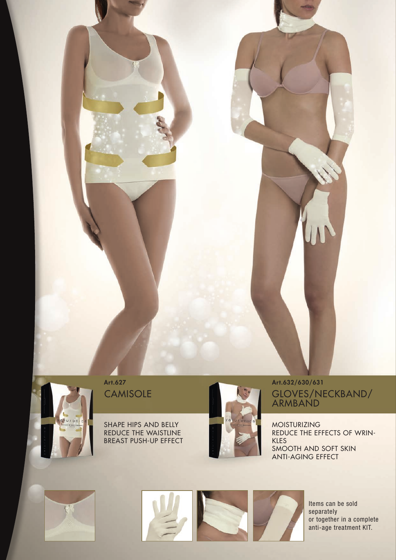**CAMISOLE** 



SHAPE HIPS AND BELLY REDUCE THE WAISTLINE BREAST PUSH-UP EFFECT



GLOVES/NECKBAND/ ARMBAND Art.627 Art.632/630/631

> MOISTURIZING REDUCE THE EFFECTS OF WRIN-KLES SMOOTH AND SOFT SKIN ANTI-AGING EFFECT



Items can be sold separately or together in a complete anti-age treatment KIT.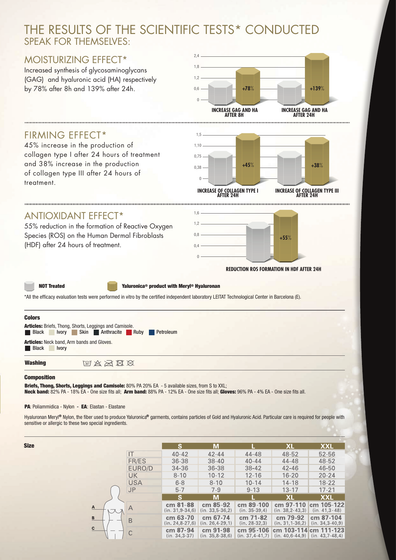## THE RESULTS OF THE SCIENTIFIC TESTS\* CONDUCTED SPEAK FOR THEMSEIVES:

### MOISTURIZING EFFECT\*

Increased synthesis of glycosaminoglycans (GAG) and hyaluronic acid (HA) respectively



#### FIRMING EFFECT\*

45% increase in the production of collagen type I after 24 hours of treatment and 38% increase in the production of collagen type III after 24 hours of treatment.



#### ANTIOXIDANT EFFECT\*

55% reduction in the formation of Reactive Oxygen Species (ROS) on the Human Dermal Fibroblasts (HDF) after 24 hours of treatment.



 **REDUCTION ROS FORMATION IN HDF AFTER 24H**

NOT Treated Yaluronica® product with Meryl® Hyaluronan

\*All the efficacy evaluation tests were performed in vitro by the certified independent laboratory LEITAT Technological Center in Barcelona (E).



#### **Composition**

**Size** 

Briefs, Thong, Shorts, Leggings and Camisole: 80% PA 20% EA - 5 available sizes, from S to XXL; Neck band: 82% PA - 18% EA - One size fits all; Arm band: 88% PA - 12% EA - One size fits all; Gloves: 96% PA - 4% EA - One size fits all.

#### PA: Poliammidica - Nylon - EA: Elastan - Elastane

Hyaluronan Meryl® Nylon, the fiber used to produce Yaluronica® garments, contains particles of Gold and Hyaluronic Acid. Particular care is required for people with sensitive or allergic to these two special ingredients.

|                        |            | S.                              | M                               |                                  | XL                                | <b>XXL</b>                        |
|------------------------|------------|---------------------------------|---------------------------------|----------------------------------|-----------------------------------|-----------------------------------|
|                        | IT         | $40 - 42$                       | $42 - 44$                       | 44-48                            | 48-52                             | 52-56                             |
|                        | FR/ES      | $36 - 38$                       | $38 - 40$                       | $40 - 44$                        | 44-48                             | 48-52                             |
|                        | EURO/D     | $34 - 36$                       | 36-38                           | $38 - 42$                        | $42 - 46$                         | 46-50                             |
|                        | <b>UK</b>  | $8 - 10$                        | $10 - 12$                       | $12 - 16$                        | $16 - 20$                         | $20 - 24$                         |
|                        | <b>USA</b> | $6 - 8$                         | $8 - 10$                        | $10 - 14$                        | $14 - 18$                         | $18 - 22$                         |
|                        | <b>JP</b>  | $5 - 7$                         | $7 - 9$                         | $9 - 13$                         | $13 - 17$                         | $17 - 21$                         |
|                        |            | S.                              | M                               |                                  | <b>XL</b>                         | <b>XXL</b>                        |
| A<br>B<br>$\mathbf{C}$ |            | cm 81-88<br>$(in. 31, 9-34, 6)$ | cm 85-92<br>$(in. 33.5-36.2)$   | cm 89-100<br>$(in. 35-39,4)$     | cm 97-110<br>$(in. 38, 2-43, 3)$  | cm 105-122<br>$(in. 41, 3-48)$    |
|                        | B          | cm 63-70<br>$(in. 24.8 - 27.6)$ | cm 67-74<br>$(in. 26, 4-29, 1)$ | cm 71-82<br>$(in. 28-32, 3)$     | cm 79-92<br>$(in. 31, 1-36, 2)$   | cm 87-104<br>$(in. 34, 3-40, 9)$  |
|                        |            | cm 87-94<br>$(in. 34.3-37)$     | cm 91-98<br>$(in. 35.8-38.6)$   | cm 95-106<br>$(in. 37, 4-41, 7)$ | cm 103-114<br>$(in. 40.6 - 44.9)$ | cm 111-123<br>$(in. 43, 7-48, 4)$ |